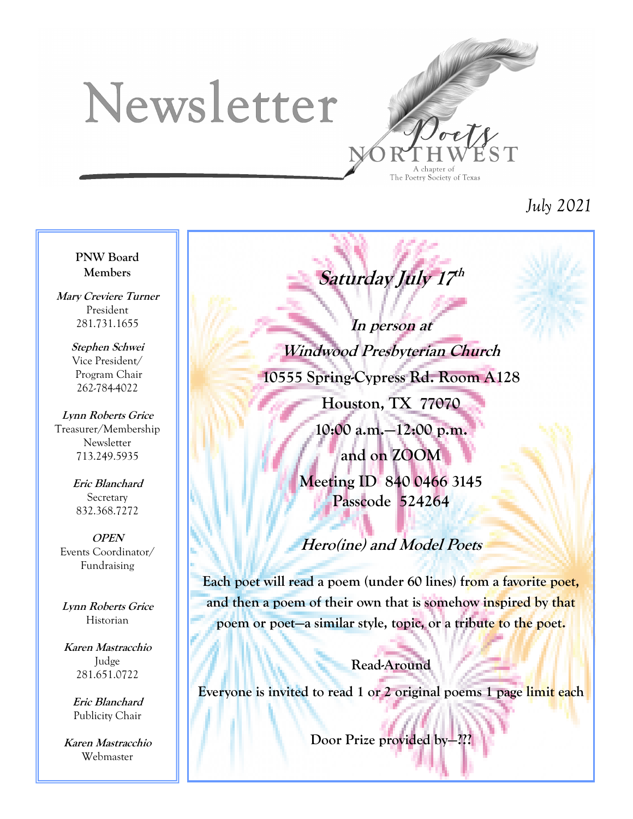# Newsletter



*July 2021*

#### **PNW Board Members**

**Mary Creviere Turner** President 281.731.1655

> **Stephen Schwei** Vice President/ Program Chair 262-784-4022

**Lynn Roberts Grice** Treasurer/Membership **Newsletter** 713.249.5935

> **Eric Blanchard** Secretary 832.368.7272

**OPEN** Events Coordinator/ Fundraising

**Lynn Roberts Grice** Historian

**Karen Mastracchio** Judge 281.651.0722

> **Eric Blanchard** Publicity Chair

**Karen Mastracchio** Webmaster

**In person at Windwood Presbyterian Church 10555 Spring-Cypress Rd. Room A128**

Saturday July 17<sup>th</sup>

**Houston, TX 77070**

**10:00 a.m.—12:00 p.m. and on ZOOM Meeting ID 840 0466 3145 Passcode 524264**

## **Hero(ine) and Model Poets**

**Each poet will read a poem (under 60 lines) from a favorite poet, and then a poem of their own that is somehow inspired by that poem or poet—a similar style, topic, or a tribute to the poet.**

**Read-Around**

**Everyone is invited to read 1 or 2 original poems 1 page limit each**

**Door Prize provided by-**